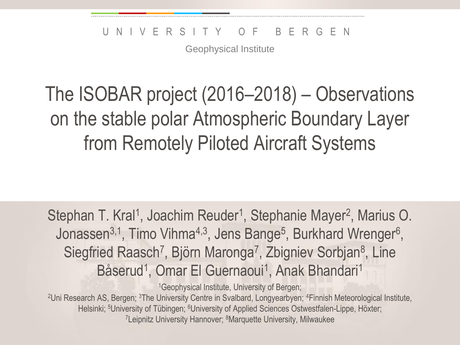Geophysical Institute

## The ISOBAR project (2016–2018) – Observations on the stable polar Atmospheric Boundary Layer from Remotely Piloted Aircraft Systems

Stephan T. Kral<sup>1</sup>, Joachim Reuder<sup>1</sup>, Stephanie Mayer<sup>2</sup>, Marius O. Jonassen<sup>3,1</sup>, Timo Vihma<sup>4,3</sup>, Jens Bange<sup>5</sup>, Burkhard Wrenger<sup>6</sup>, Siegfried Raasch<sup>7</sup>, Björn Maronga<sup>7</sup>, Zbigniev Sorbjan<sup>8</sup>, Line Båserud<sup>1</sup>, Omar El Guernaoui<sup>1</sup>, Anak Bhandari<sup>1</sup>

<sup>1</sup>Geophysical Institute, University of Bergen;

<sup>2</sup>Uni Research AS, Bergen; <sup>3</sup>The University Centre in Svalbard, Longyearbyen; <sup>4</sup>Finnish Meteorological Institute, Helsinki; <sup>5</sup>University of Tübingen; <sup>6</sup>University of Applied Sciences Ostwestfalen-Lippe, Höxter; <sup>7</sup>Leipnitz University Hannover; <sup>8</sup>Marquette University, Milwaukee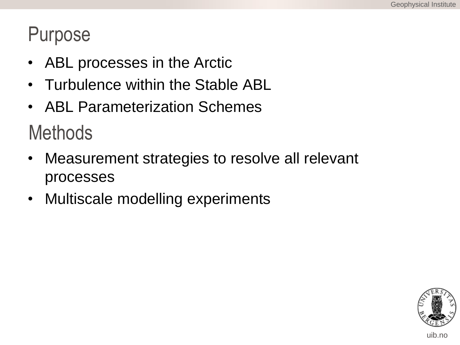#### Purpose

- ABL processes in the Arctic
- Turbulence within the Stable ABL
- ABL Parameterization Schemes

**Methods** 

- Measurement strategies to resolve all relevant processes
- Multiscale modelling experiments

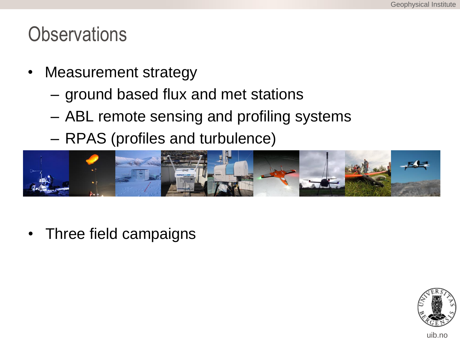#### **Observations**

- Measurement strategy
	- ground based flux and met stations
	- ABL remote sensing and profiling systems
	- RPAS (profiles and turbulence)



• Three field campaigns



uib.no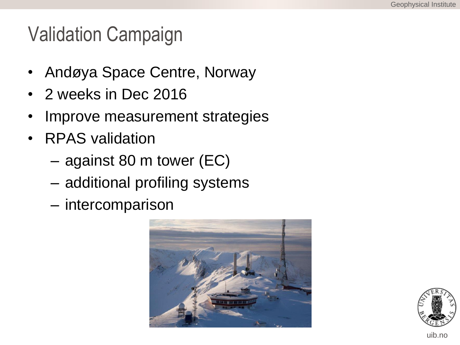#### Validation Campaign

- Andøya Space Centre, Norway
- 2 weeks in Dec 2016
- Improve measurement strategies
- RPAS validation
	- against 80 m tower (EC)
	- additional profiling systems
	- intercomparison



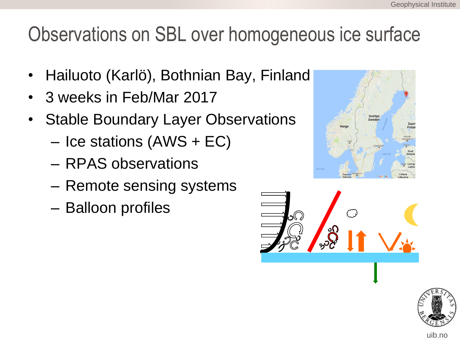### Observations on SBL over homogeneous ice surface

- Hailuoto (Karlö), Bothnian Bay, Finland
- 3 weeks in Feb/Mar 2017
- **Stable Boundary Layer Observations** 
	- Ice stations (AWS + EC)
	- RPAS observations
	- Remote sensing systems
	- Balloon profiles





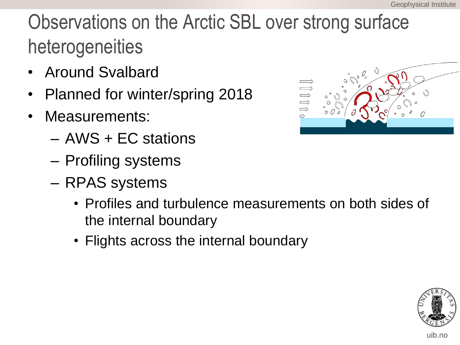# Observations on the Arctic SBL over strong surface heterogeneities

- Around Svalbard
- Planned for winter/spring 2018
- Measurements:
	- AWS + EC stations
	- Profiling systems
	- RPAS systems
		- Profiles and turbulence measurements on both sides of the internal boundary
		- Flights across the internal boundary





uib.no